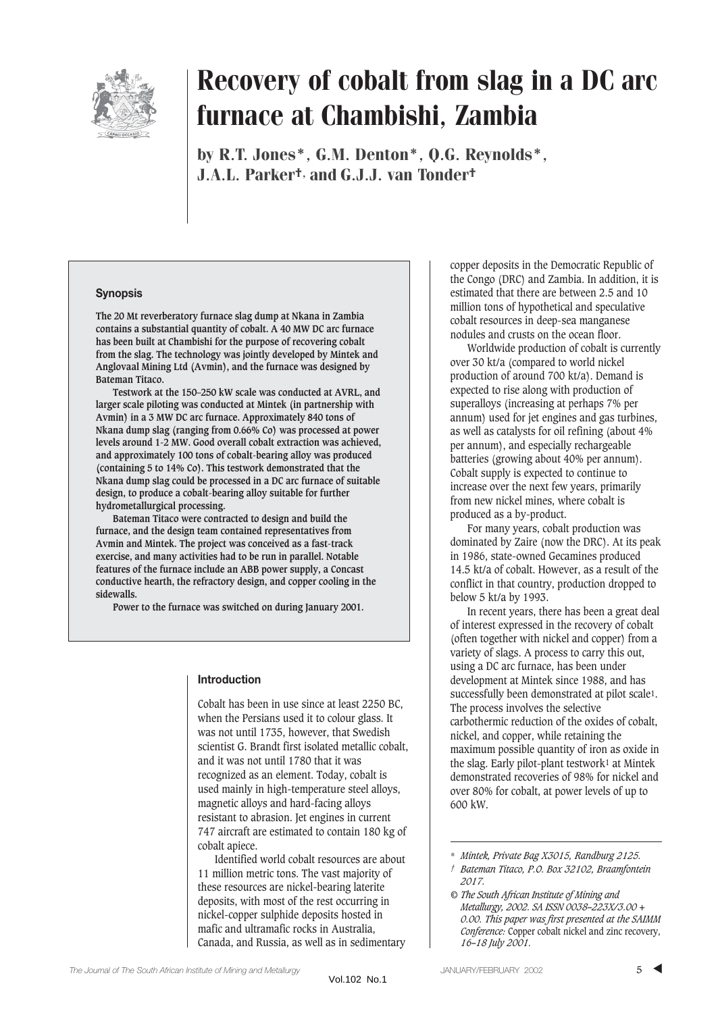

# Recovery of cobalt from slag in a DC arc furnace at Chambishi, Zambia

by R.T. Jones\*, G.M. Denton\*, Q.G. Reynolds\*, J.A.L. Parker†, and G.J.J. van Tonder†

## **Synopsis**

**The 20 Mt reverberatory furnace slag dump at Nkana in Zambia contains a substantial quantity of cobalt. A 40 MW DC arc furnace has been built at Chambishi for the purpose of recovering cobalt from the slag. The technology was jointly developed by Mintek and Anglovaal Mining Ltd (Avmin), and the furnace was designed by Bateman Titaco.**

**Testwork at the 150–250 kW scale was conducted at AVRL, and larger scale piloting was conducted at Mintek (in partnership with Avmin) in a 3 MW DC arc furnace. Approximately 840 tons of Nkana dump slag (ranging from 0.66% Co) was processed at power levels around 1-2 MW. Good overall cobalt extraction was achieved, and approximately 100 tons of cobalt-bearing alloy was produced (containing 5 to 14% Co). This testwork demonstrated that the Nkana dump slag could be processed in a DC arc furnace of suitable design, to produce a cobalt-bearing alloy suitable for further hydrometallurgical processing.**

**Bateman Titaco were contracted to design and build the furnace, and the design team contained representatives from Avmin and Mintek. The project was conceived as a fast-track exercise, and many activities had to be run in parallel. Notable features of the furnace include an ABB power supply, a Concast conductive hearth, the refractory design, and copper cooling in the sidewalls.**

**Power to the furnace was switched on during January 2001.**

## **Introduction**

Cobalt has been in use since at least 2250 BC, when the Persians used it to colour glass. It was not until 1735, however, that Swedish scientist G. Brandt first isolated metallic cobalt, and it was not until 1780 that it was recognized as an element. Today, cobalt is used mainly in high-temperature steel alloys, magnetic alloys and hard-facing alloys resistant to abrasion. Jet engines in current 747 aircraft are estimated to contain 180 kg of cobalt apiece.

Identified world cobalt resources are about 11 million metric tons. The vast majority of these resources are nickel-bearing laterite deposits, with most of the rest occurring in nickel-copper sulphide deposits hosted in mafic and ultramafic rocks in Australia, Canada, and Russia, as well as in sedimentary

copper deposits in the Democratic Republic of the Congo (DRC) and Zambia. In addition, it is estimated that there are between 2.5 and 10 million tons of hypothetical and speculative cobalt resources in deep-sea manganese nodules and crusts on the ocean floor.

Worldwide production of cobalt is currently over 30 kt/a (compared to world nickel production of around 700 kt/a). Demand is expected to rise along with production of superalloys (increasing at perhaps 7% per annum) used for jet engines and gas turbines. as well as catalysts for oil refining (about 4% per annum), and especially rechargeable batteries (growing about 40% per annum). Cobalt supply is expected to continue to increase over the next few years, primarily from new nickel mines, where cobalt is produced as a by-product.

For many years, cobalt production was dominated by Zaire (now the DRC). At its peak in 1986, state-owned Gecamines produced 14.5 kt/a of cobalt. However, as a result of the conflict in that country, production dropped to below 5 kt/a by 1993.

In recent years, there has been a great deal of interest expressed in the recovery of cobalt (often together with nickel and copper) from a variety of slags. A process to carry this out, using a DC arc furnace, has been under development at Mintek since 1988, and has successfully been demonstrated at pilot scale1. The process involves the selective carbothermic reduction of the oxides of cobalt, nickel, and copper, while retaining the maximum possible quantity of iron as oxide in the slag. Early pilot-plant testwork1 at Mintek demonstrated recoveries of 98% for nickel and over 80% for cobalt, at power levels of up to 600 kW.

<sup>\*</sup> *Mintek, Private Bag X3015, Randburg 2125.*

*<sup>†</sup> Bateman Titaco, P.O. Box 32102, Braamfontein 2017.*

*<sup>©</sup> The South African Institute of Mining and Metallurgy, 2002. SA ISSN 0038–223X/3.00 + 0.00. This paper was first presented at the SAIMM Conference:* Copper cobalt nickel and zinc recovery, *16–18 July 2001.*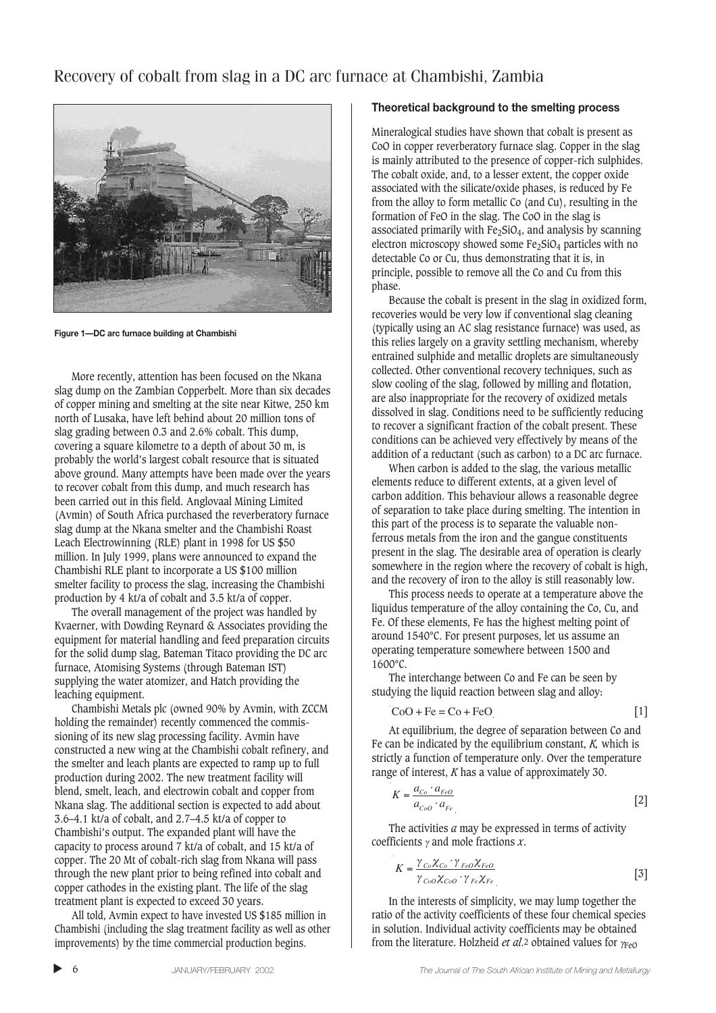# Recovery of cobalt from slag in a DC arc furnace at Chambishi, Zambia



**Figure 1—DC arc furnace building at Chambishi**

More recently, attention has been focused on the Nkana slag dump on the Zambian Copperbelt. More than six decades of copper mining and smelting at the site near Kitwe, 250 km north of Lusaka, have left behind about 20 million tons of slag grading between 0.3 and 2.6% cobalt. This dump, covering a square kilometre to a depth of about 30 m, is probably the world's largest cobalt resource that is situated above ground. Many attempts have been made over the years to recover cobalt from this dump, and much research has been carried out in this field. Anglovaal Mining Limited (Avmin) of South Africa purchased the reverberatory furnace slag dump at the Nkana smelter and the Chambishi Roast Leach Electrowinning (RLE) plant in 1998 for US \$50 million. In July 1999, plans were announced to expand the Chambishi RLE plant to incorporate a US \$100 million smelter facility to process the slag, increasing the Chambishi production by 4 kt/a of cobalt and 3.5 kt/a of copper.

The overall management of the project was handled by Kvaerner, with Dowding Reynard & Associates providing the equipment for material handling and feed preparation circuits for the solid dump slag, Bateman Titaco providing the DC arc furnace, Atomising Systems (through Bateman IST) supplying the water atomizer, and Hatch providing the leaching equipment.

Chambishi Metals plc (owned 90% by Avmin, with ZCCM holding the remainder) recently commenced the commissioning of its new slag processing facility. Avmin have constructed a new wing at the Chambishi cobalt refinery, and the smelter and leach plants are expected to ramp up to full production during 2002. The new treatment facility will blend, smelt, leach, and electrowin cobalt and copper from Nkana slag. The additional section is expected to add about 3.6–4.1 kt/a of cobalt, and 2.7–4.5 kt/a of copper to Chambishi's output. The expanded plant will have the capacity to process around 7 kt/a of cobalt, and 15 kt/a of copper. The 20 Mt of cobalt-rich slag from Nkana will pass through the new plant prior to being refined into cobalt and copper cathodes in the existing plant. The life of the slag treatment plant is expected to exceed 30 years.

All told, Avmin expect to have invested US \$185 million in Chambishi (including the slag treatment facility as well as other improvements) by the time commercial production begins.

#### **Theoretical background to the smelting process**

Mineralogical studies have shown that cobalt is present as CoO in copper reverberatory furnace slag. Copper in the slag is mainly attributed to the presence of copper-rich sulphides. The cobalt oxide, and, to a lesser extent, the copper oxide associated with the silicate/oxide phases, is reduced by Fe from the alloy to form metallic Co (and Cu), resulting in the formation of FeO in the slag. The CoO in the slag is associated primarily with  $Fe<sub>2</sub>SiO<sub>4</sub>$ , and analysis by scanning electron microscopy showed some Fe<sub>2</sub>SiO<sub>4</sub> particles with no detectable Co or Cu, thus demonstrating that it is, in principle, possible to remove all the Co and Cu from this phase.

Because the cobalt is present in the slag in oxidized form, recoveries would be very low if conventional slag cleaning (typically using an AC slag resistance furnace) was used, as this relies largely on a gravity settling mechanism, whereby entrained sulphide and metallic droplets are simultaneously collected. Other conventional recovery techniques, such as slow cooling of the slag, followed by milling and flotation, are also inappropriate for the recovery of oxidized metals dissolved in slag. Conditions need to be sufficiently reducing to recover a significant fraction of the cobalt present. These conditions can be achieved very effectively by means of the addition of a reductant (such as carbon) to a DC arc furnace.

When carbon is added to the slag, the various metallic elements reduce to different extents, at a given level of carbon addition. This behaviour allows a reasonable degree of separation to take place during smelting. The intention in this part of the process is to separate the valuable nonferrous metals from the iron and the gangue constituents present in the slag. The desirable area of operation is clearly somewhere in the region where the recovery of cobalt is high, and the recovery of iron to the alloy is still reasonably low.

This process needs to operate at a temperature above the liquidus temperature of the alloy containing the Co, Cu, and Fe. Of these elements, Fe has the highest melting point of around 1540°C. For present purposes, let us assume an operating temperature somewhere between 1500 and 1600°C.

The interchange between Co and Fe can be seen by studying the liquid reaction between slag and alloy:

$$
CoO + Fe = Co + FeO
$$
 [1]

At equilibrium, the degree of separation between Co and Fe can be indicated by the equilibrium constant, *K,* which is strictly a function of temperature only. Over the temperature range of interest, *K* has a value of approximately 30.

$$
K = \frac{a_{Co} \cdot a_{FeO}}{a_{CoO} \cdot a_{Fe}}
$$
 [2]

The activities *a* may be expressed in terms of activity coefficients γ and mole fractions *x*.

$$
K = \frac{\gamma_{Co}\chi_{Co}\cdot\gamma_{FeO}\chi_{FeO}}{\gamma_{CoO}\chi_{CoO}\cdot\gamma_{Fe}\chi_{Fe}}
$$
 [3]

In the interests of simplicity, we may lump together the ratio of the activity coefficients of these four chemical species in solution. Individual activity coefficients may be obtained from the literature. Holzheid *et al*.2 obtained values for γFeO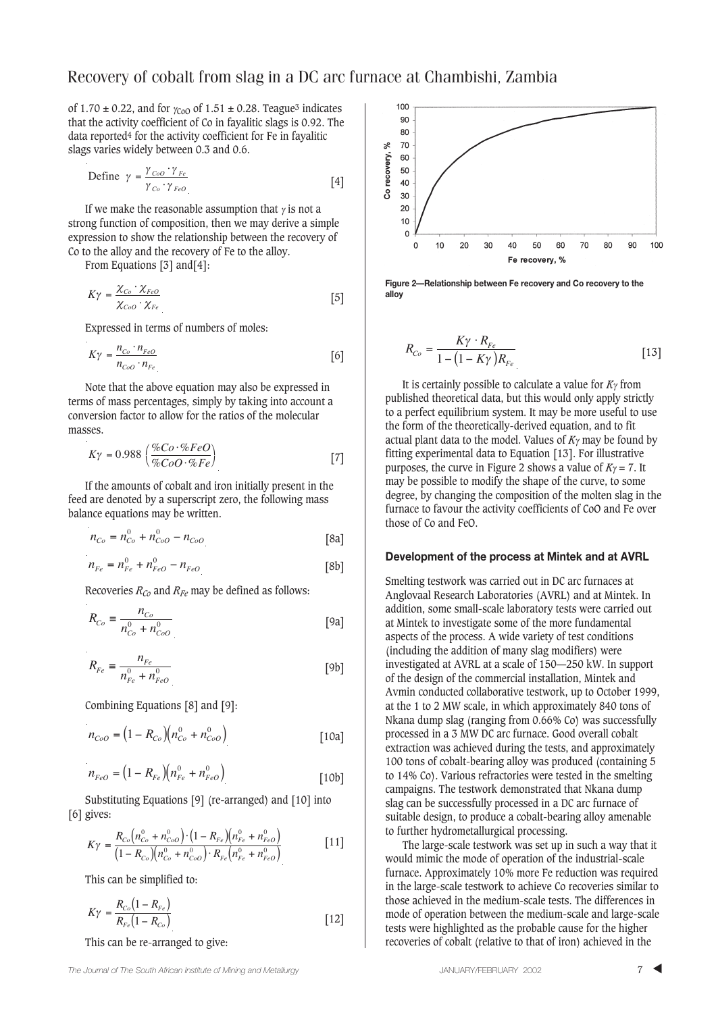of 1.70  $\pm$  0.22, and for  $\gamma_{\text{C00}}$  of 1.51  $\pm$  0.28. Teague<sup>3</sup> indicates that the activity coefficient of Co in fayalitic slags is 0.92. The data reported4 for the activity coefficient for Fe in fayalitic slags varies widely between 0.3 and 0.6.

Define 
$$
\gamma = \frac{\gamma_{CoO} \cdot \gamma_{Fe}}{\gamma_{Co} \cdot \gamma_{FeO}}
$$
 [4]

If we make the reasonable assumption that  $\gamma$  is not a strong function of composition, then we may derive a simple expression to show the relationship between the recovery of Co to the alloy and the recovery of Fe to the alloy.

From Equations [3] and[4]:

$$
K\gamma = \frac{\chi_{Co} \cdot \chi_{FeO}}{\chi_{CoO} \cdot \chi_{Fe}}
$$
 [5]

Expressed in terms of numbers of moles:

$$
K\gamma = \frac{n_{Co} \cdot n_{FeO}}{n_{CoO} \cdot n_{Fe}}
$$
 [6]

Note that the above equation may also be expressed in terms of mass percentages, simply by taking into account a conversion factor to allow for the ratios of the molecular masses.

$$
K\gamma = 0.988 \left(\frac{\%Co \cdot \%FeO}{\%CoO \cdot \%Fe}\right) \tag{7}
$$

If the amounts of cobalt and iron initially present in the feed are denoted by a superscript zero, the following mass balance equations may be written.

$$
n_{Co} = n_{Co}^0 + n_{CoO}^0 - n_{CoO}
$$
 [8a]

$$
n_{Fe} = n_{Fe}^{0} + n_{FeO}^{0} - n_{FeO}
$$
 [8b]

Recoveries  $R_{Co}$  and  $R_{Fe}$  may be defined as follows:

$$
R_{Co} = \frac{n_{Co}}{n_{Co}^0 + n_{CoO}^0}
$$
 [9a]

$$
R_{Fe} \equiv \frac{n_{Fe}}{n_{Fe}^0 + n_{FeO}^0}
$$
 [9b]

Combining Equations [8] and [9]:

$$
n_{CoO} = (1 - R_{Co})(n_{Co}^{0} + n_{CoO}^{0})
$$
 [10a]

$$
n_{FeO} = (1 - R_{Fe})(n_{Fe}^0 + n_{FeO}^0)
$$
 [10b]

Substituting Equations [9] (re-arranged) and [10] into [6] gives:

$$
K\gamma = \frac{R_{Co}(n_{Co}^0 + n_{CoO}^0) \cdot (1 - R_{Fe})(n_{Fe}^0 + n_{FeO}^0)}{(1 - R_{Co})(n_{Co}^0 + n_{CoO}^0) \cdot R_{Fe}(n_{Fe}^0 + n_{FeO}^0)}
$$
 [11]

This can be simplified to:

$$
K\gamma = \frac{R_{Co}(1 - R_{Fe})}{R_{Fe}(1 - R_{Co})}
$$
 [12]

This can be re-arranged to give:



**Figure 2—Relationship between Fe recovery and Co recovery to the alloy**

$$
R_{Co} = \frac{K\gamma \cdot R_{Fe}}{1 - (1 - K\gamma)R_{Fe}} \tag{13}
$$

It is certainly possible to calculate a value for *K*γ from published theoretical data, but this would only apply strictly to a perfect equilibrium system. It may be more useful to use the form of the theoretically-derived equation, and to fit actual plant data to the model. Values of *K*γ may be found by fitting experimental data to Equation [13]. For illustrative purposes, the curve in Figure 2 shows a value of  $K_\gamma = 7$ . It may be possible to modify the shape of the curve, to some degree, by changing the composition of the molten slag in the furnace to favour the activity coefficients of CoO and Fe over those of Co and FeO.

#### **Development of the process at Mintek and at AVRL**

Smelting testwork was carried out in DC arc furnaces at Anglovaal Research Laboratories (AVRL) and at Mintek. In addition, some small-scale laboratory tests were carried out at Mintek to investigate some of the more fundamental aspects of the process. A wide variety of test conditions (including the addition of many slag modifiers) were investigated at AVRL at a scale of 150—250 kW. In support of the design of the commercial installation, Mintek and Avmin conducted collaborative testwork, up to October 1999, at the 1 to 2 MW scale, in which approximately 840 tons of Nkana dump slag (ranging from 0.66% Co) was successfully processed in a 3 MW DC arc furnace. Good overall cobalt extraction was achieved during the tests, and approximately 100 tons of cobalt-bearing alloy was produced (containing 5 to 14% Co). Various refractories were tested in the smelting campaigns. The testwork demonstrated that Nkana dump slag can be successfully processed in a DC arc furnace of suitable design, to produce a cobalt-bearing alloy amenable to further hydrometallurgical processing.

The large-scale testwork was set up in such a way that it would mimic the mode of operation of the industrial-scale furnace. Approximately 10% more Fe reduction was required in the large-scale testwork to achieve Co recoveries similar to those achieved in the medium-scale tests. The differences in mode of operation between the medium-scale and large-scale tests were highlighted as the probable cause for the higher recoveries of cobalt (relative to that of iron) achieved in the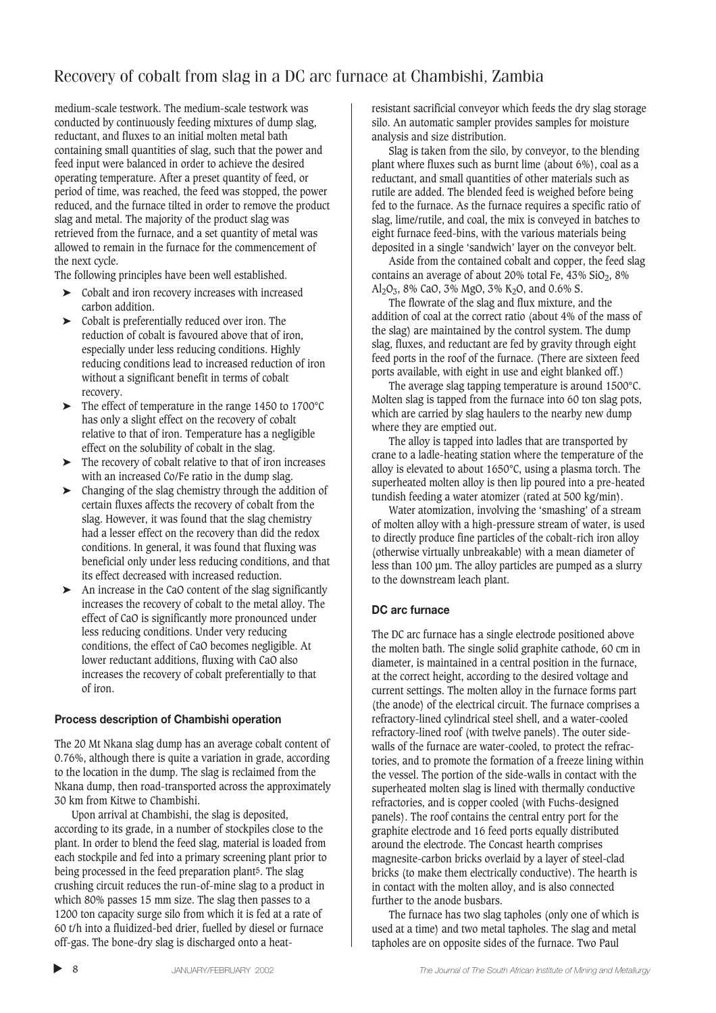# Recovery of cobalt from slag in a DC arc furnace at Chambishi, Zambia

medium-scale testwork. The medium-scale testwork was conducted by continuously feeding mixtures of dump slag, reductant, and fluxes to an initial molten metal bath containing small quantities of slag, such that the power and feed input were balanced in order to achieve the desired operating temperature. After a preset quantity of feed, or period of time, was reached, the feed was stopped, the power reduced, and the furnace tilted in order to remove the product slag and metal. The majority of the product slag was retrieved from the furnace, and a set quantity of metal was allowed to remain in the furnace for the commencement of the next cycle.

The following principles have been well established.

- ➤ Cobalt and iron recovery increases with increased carbon addition.
- ➤ Cobalt is preferentially reduced over iron. The reduction of cobalt is favoured above that of iron, especially under less reducing conditions. Highly reducing conditions lead to increased reduction of iron without a significant benefit in terms of cobalt recovery.
- ➤ The effect of temperature in the range 1450 to 1700°C has only a slight effect on the recovery of cobalt relative to that of iron. Temperature has a negligible effect on the solubility of cobalt in the slag.
- ➤ The recovery of cobalt relative to that of iron increases with an increased Co/Fe ratio in the dump slag.
- ➤ Changing of the slag chemistry through the addition of certain fluxes affects the recovery of cobalt from the slag. However, it was found that the slag chemistry had a lesser effect on the recovery than did the redox conditions. In general, it was found that fluxing was beneficial only under less reducing conditions, and that its effect decreased with increased reduction.
- ➤ An increase in the CaO content of the slag significantly increases the recovery of cobalt to the metal alloy. The effect of CaO is significantly more pronounced under less reducing conditions. Under very reducing conditions, the effect of CaO becomes negligible. At lower reductant additions, fluxing with CaO also increases the recovery of cobalt preferentially to that of iron.

# **Process description of Chambishi operation**

The 20 Mt Nkana slag dump has an average cobalt content of 0.76%, although there is quite a variation in grade, according to the location in the dump. The slag is reclaimed from the Nkana dump, then road-transported across the approximately 30 km from Kitwe to Chambishi.

Upon arrival at Chambishi, the slag is deposited, according to its grade, in a number of stockpiles close to the plant. In order to blend the feed slag, material is loaded from each stockpile and fed into a primary screening plant prior to being processed in the feed preparation plant5. The slag crushing circuit reduces the run-of-mine slag to a product in which 80% passes 15 mm size. The slag then passes to a 1200 ton capacity surge silo from which it is fed at a rate of 60 t/h into a fluidized-bed drier, fuelled by diesel or furnace off-gas. The bone-dry slag is discharged onto a heatresistant sacrificial conveyor which feeds the dry slag storage silo. An automatic sampler provides samples for moisture analysis and size distribution.

Slag is taken from the silo, by conveyor, to the blending plant where fluxes such as burnt lime (about 6%), coal as a reductant, and small quantities of other materials such as rutile are added. The blended feed is weighed before being fed to the furnace. As the furnace requires a specific ratio of slag, lime/rutile, and coal, the mix is conveyed in batches to eight furnace feed-bins, with the various materials being deposited in a single 'sandwich' layer on the conveyor belt.

Aside from the contained cobalt and copper, the feed slag contains an average of about 20% total Fe,  $43\%$  SiO<sub>2</sub>, 8% Al<sub>2</sub>O<sub>3</sub>, 8% CaO, 3% MgO, 3% K<sub>2</sub>O, and 0.6% S.

The flowrate of the slag and flux mixture, and the addition of coal at the correct ratio (about 4% of the mass of the slag) are maintained by the control system. The dump slag, fluxes, and reductant are fed by gravity through eight feed ports in the roof of the furnace. (There are sixteen feed ports available, with eight in use and eight blanked off.)

The average slag tapping temperature is around 1500°C. Molten slag is tapped from the furnace into 60 ton slag pots, which are carried by slag haulers to the nearby new dump where they are emptied out.

The alloy is tapped into ladles that are transported by crane to a ladle-heating station where the temperature of the alloy is elevated to about 1650°C, using a plasma torch. The superheated molten alloy is then lip poured into a pre-heated tundish feeding a water atomizer (rated at 500 kg/min).

Water atomization, involving the 'smashing' of a stream of molten alloy with a high-pressure stream of water, is used to directly produce fine particles of the cobalt-rich iron alloy (otherwise virtually unbreakable) with a mean diameter of less than 100 µm. The alloy particles are pumped as a slurry to the downstream leach plant.

# **DC arc furnace**

The DC arc furnace has a single electrode positioned above the molten bath. The single solid graphite cathode, 60 cm in diameter, is maintained in a central position in the furnace, at the correct height, according to the desired voltage and current settings. The molten alloy in the furnace forms part (the anode) of the electrical circuit. The furnace comprises a refractory-lined cylindrical steel shell, and a water-cooled refractory-lined roof (with twelve panels). The outer sidewalls of the furnace are water-cooled, to protect the refractories, and to promote the formation of a freeze lining within the vessel. The portion of the side-walls in contact with the superheated molten slag is lined with thermally conductive refractories, and is copper cooled (with Fuchs-designed panels). The roof contains the central entry port for the graphite electrode and 16 feed ports equally distributed around the electrode. The Concast hearth comprises magnesite-carbon bricks overlaid by a layer of steel-clad bricks (to make them electrically conductive). The hearth is in contact with the molten alloy, and is also connected further to the anode busbars.

The furnace has two slag tapholes (only one of which is used at a time) and two metal tapholes. The slag and metal tapholes are on opposite sides of the furnace. Two Paul